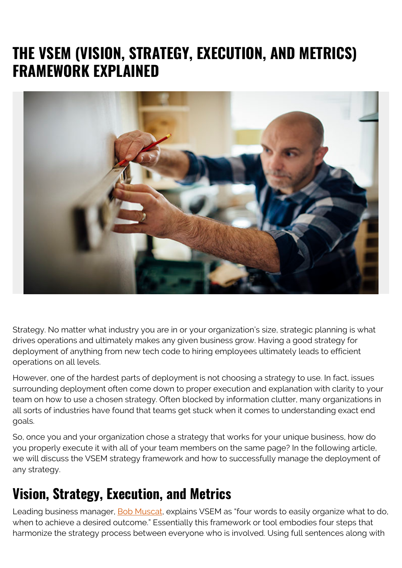# **THE VSEM (VISION, STRATEGY, EXECUTION, AND METRICS) FRAMEWORK EXPLAINED**



Strategy. No matter what industry you are in or your organization's size, strategic planning is what drives operations and ultimately makes any given business grow. Having a good strategy for deployment of anything from new tech code to hiring employees ultimately leads to efficient operations on all levels.

However, one of the hardest parts of deployment is not choosing a strategy to use. In fact, issues surrounding deployment often come down to proper execution and explanation with clarity to your team on how to use a chosen strategy. Often blocked by information clutter, many organizations in all sorts of industries have found that teams get stuck when it comes to understanding exact end goals.

So, once you and your organization chose a strategy that works for your unique business, how do you properly execute it with all of your team members on the same page? In the following article, we will discuss the VSEM strategy framework and how to successfully manage the deployment of any strategy.

### **Vision, Strategy, Execution, and Metrics**

Leading business manager, **Bob Muscat**, explains VSEM as "four words to easily organize what to do, when to achieve a desired outcome." Essentially this framework or tool embodies four steps that harmonize the strategy process between everyone who is involved. Using full sentences along with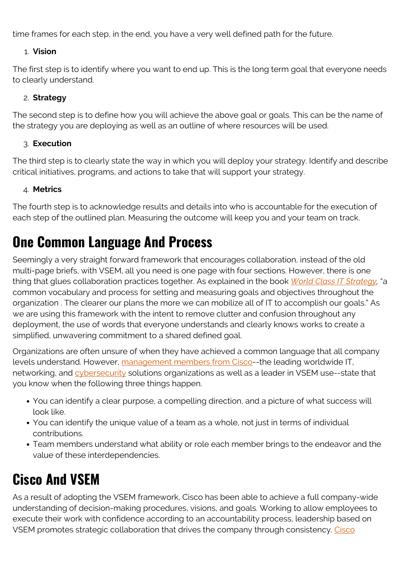time frames for each step, in the end, you have a very well defined path for the future.

#### 1. **Vision**

The first step is to identify where you want to end up. This is the long term goal that everyone needs to clearly understand.

#### 2. **Strategy**

The second step is to define how you will achieve the above goal or goals. This can be the name of the strategy you are deploying as well as an outline of where resources will be used.

#### 3. **Execution**

The third step is to clearly state the way in which you will deploy your strategy. Identify and describe critical initiatives, programs, and actions to take that will support your strategy.

#### 4. **Metrics**

The fourth step is to acknowledge results and details into who is accountable for the execution of each step of the outlined plan. Measuring the outcome will keep you and your team on track.

### **One Common Language And Process**

Seemingly a very straight forward framework that encourages collaboration, instead of the old multi-page briefs, with VSEM, all you need is one page with four sections. However, there is one thing that glues collaboration practices together. As explained in the book *[World Class IT Strategy,](https://books.google.com.mx/books?id=3E9YBAAAQBAJ&pg=PT152&lpg=PT152&dq=how+to+use+a+VSEM+framework&source=bl&ots=J4QHlftPEm&sig=ACfU3U1pfJ6jTMIvTa7i0pOSCKoPbZZXPg&hl=en&sa=X&ved=2ahUKEwi33aby4OjpAhWKd98KHTWVCB0Q6AEwBXoECAkQAQ#v=onepage&q=how%20to%20use%20a%20VSEM%20framework&f=false)* "a common vocabulary and process for setting and measuring goals and objectives throughout the organization . The clearer our plans the more we can mobilize all of IT to accomplish our goals." As we are using this framework with the intent to remove clutter and confusion throughout any deployment, the use of words that everyone understands and clearly knows works to create a simplified, unwavering commitment to a shared defined goal.

Organizations are often unsure of when they have achieved a common language that all company levels understand. However, [management members from Cisco](https://www.cisco.com/en/US/services/ps2961/ps2664/collaborative_imperative.pdf)--the leading worldwide IT, networking, and [cybersecurity](https://blogs.bmc.com/blogs/cybersecurity/) solutions organizations as well as a leader in VSEM use--state that you know when the following three things happen.

- You can identify a clear purpose, a compelling direction, and a picture of what success will look like.
- You can identify the unique value of a team as a whole, not just in terms of individual contributions.
- Team members understand what ability or role each member brings to the endeavor and the value of these interdependencies.

# **Cisco And VSEM**

As a result of adopting the VSEM framework, Cisco has been able to achieve a full company-wide understanding of decision-making procedures, visions, and goals. Working to allow employees to execute their work with confidence according to an accountability process, leadership based on VSEM promotes strategic collaboration that drives the company through consistency. [Cisco](https://www.cisco.com/en/US/services/ps2961/ps2664/collaborative_imperative.pdf)